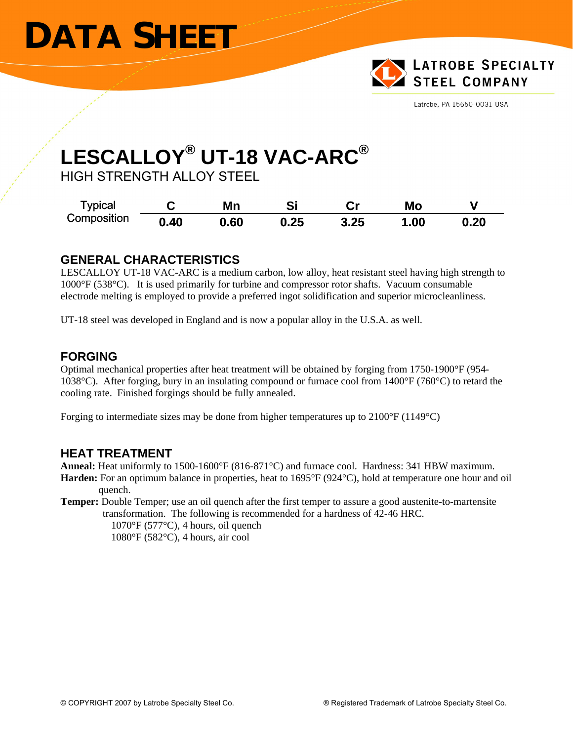# **DATA SHEET**



Latrobe, PA 15650-0031 USA

## **LESCALLOY® UT-18 VAC-ARC®**

HIGH STRENGTH ALLOY STEEL

| <b>Typical</b><br>Composition |      | Mn   | Si   | ∼.   | Mo  |      |
|-------------------------------|------|------|------|------|-----|------|
|                               | 0.40 | 0.60 | 0.25 | 3.25 | .00 | 0.20 |

#### **GENERAL CHARACTERISTICS**

LESCALLOY UT-18 VAC-ARC is a medium carbon, low alloy, heat resistant steel having high strength to 1000°F (538°C). It is used primarily for turbine and compressor rotor shafts. Vacuum consumable electrode melting is employed to provide a preferred ingot solidification and superior microcleanliness.

UT-18 steel was developed in England and is now a popular alloy in the U.S.A. as well.

#### **FORGING**

Optimal mechanical properties after heat treatment will be obtained by forging from 1750-1900°F (954- 1038°C). After forging, bury in an insulating compound or furnace cool from 1400°F (760°C) to retard the cooling rate. Finished forgings should be fully annealed.

Forging to intermediate sizes may be done from higher temperatures up to 2100°F (1149°C)

#### **HEAT TREATMENT**

**Anneal:** Heat uniformly to 1500-1600°F (816-871°C) and furnace cool. Hardness: 341 HBW maximum.

**Harden:** For an optimum balance in properties, heat to 1695°F (924°C), hold at temperature one hour and oil quench.

**Temper:** Double Temper; use an oil quench after the first temper to assure a good austenite-to-martensite transformation. The following is recommended for a hardness of 42-46 HRC.

 $1070\text{°F}$  (577°C), 4 hours, oil quench 1080°F (582°C), 4 hours, air cool